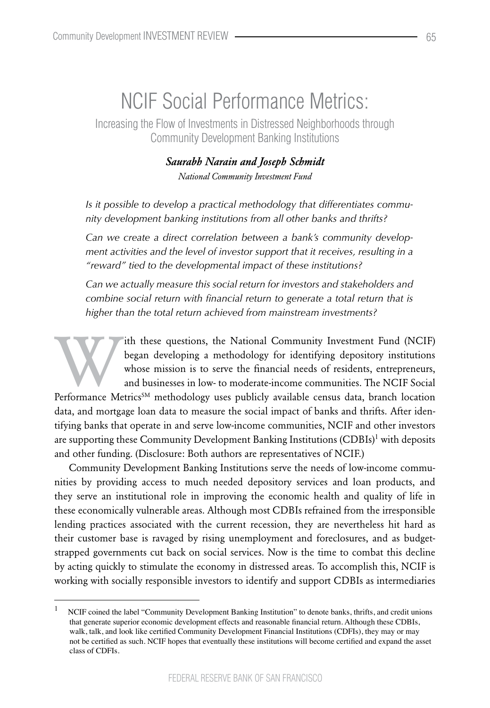# NCIF Social Performance Metrics:

Increasing the Flow of Investments in Distressed Neighborhoods through Community Development Banking Institutions

> *Saurabh Narain and Joseph Schmidt National Community Investment Fund*

*Is it possible to develop a practical methodology that differentiates community development banking institutions from all other banks and thrifts?*

*Can we create a direct correlation between a bank's community development activities and the level of investor support that it receives, resulting in a "reward" tied to the developmental impact of these institutions?*

*Can we actually measure this social return for investors and stakeholders and combine social return with financial return to generate a total return that is higher than the total return achieved from mainstream investments?*

Ith these questions, the National Community Investment Fund (NCIF)<br>began developing a methodology for identifying depository institutions<br>whose mission is to serve the financial needs of residents, entrepreneurs,<br>and busin began developing a methodology for identifying depository institutions whose mission is to serve the financial needs of residents, entrepreneurs, and businesses in low- to moderate-income communities. The NCIF Social

data, and mortgage loan data to measure the social impact of banks and thrifts. After identifying banks that operate in and serve low-income communities, NCIF and other investors are supporting these Community Development Banking Institutions (CDBIs)<sup>1</sup> with deposits and other funding. (Disclosure: Both authors are representatives of NCIF.)

Community Development Banking Institutions serve the needs of low-income communities by providing access to much needed depository services and loan products, and they serve an institutional role in improving the economic health and quality of life in these economically vulnerable areas. Although most CDBIs refrained from the irresponsible lending practices associated with the current recession, they are nevertheless hit hard as their customer base is ravaged by rising unemployment and foreclosures, and as budgetstrapped governments cut back on social services. Now is the time to combat this decline by acting quickly to stimulate the economy in distressed areas. To accomplish this, NCIF is working with socially responsible investors to identify and support CDBIs as intermediaries

<sup>1</sup> NCIF coined the label "Community Development Banking Institution" to denote banks, thrifts, and credit unions that generate superior economic development effects and reasonable financial return. Although these CDBIs, walk, talk, and look like certified Community Development Financial Institutions (CDFIs), they may or may not be certified as such. NCIF hopes that eventually these institutions will become certified and expand the asset class of CDFIs.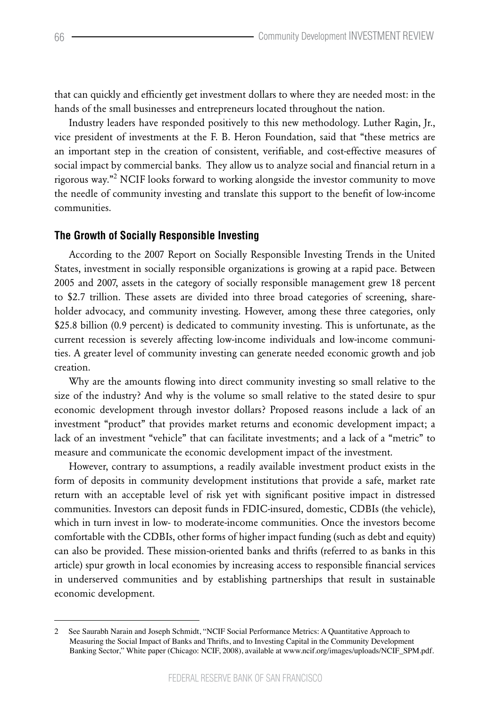that can quickly and efficiently get investment dollars to where they are needed most: in the hands of the small businesses and entrepreneurs located throughout the nation.

Industry leaders have responded positively to this new methodology. Luther Ragin, Jr., vice president of investments at the F. B. Heron Foundation, said that "these metrics are an important step in the creation of consistent, verifiable, and cost-effective measures of social impact by commercial banks. They allow us to analyze social and financial return in a rigorous way."<sup>2</sup> NCIF looks forward to working alongside the investor community to move the needle of community investing and translate this support to the benefit of low-income communities.

## **The Growth of Socially Responsible Investing**

According to the 2007 Report on Socially Responsible Investing Trends in the United States, investment in socially responsible organizations is growing at a rapid pace. Between 2005 and 2007, assets in the category of socially responsible management grew 18 percent to \$2.7 trillion. These assets are divided into three broad categories of screening, shareholder advocacy, and community investing. However, among these three categories, only \$25.8 billion (0.9 percent) is dedicated to community investing. This is unfortunate, as the current recession is severely affecting low-income individuals and low-income communities. A greater level of community investing can generate needed economic growth and job creation.

Why are the amounts flowing into direct community investing so small relative to the size of the industry? And why is the volume so small relative to the stated desire to spur economic development through investor dollars? Proposed reasons include a lack of an investment "product" that provides market returns and economic development impact; a lack of an investment "vehicle" that can facilitate investments; and a lack of a "metric" to measure and communicate the economic development impact of the investment.

However, contrary to assumptions, a readily available investment product exists in the form of deposits in community development institutions that provide a safe, market rate return with an acceptable level of risk yet with significant positive impact in distressed communities. Investors can deposit funds in FDIC-insured, domestic, CDBIs (the vehicle), which in turn invest in low- to moderate-income communities. Once the investors become comfortable with the CDBIs, other forms of higher impact funding (such as debt and equity) can also be provided. These mission-oriented banks and thrifts (referred to as banks in this article) spur growth in local economies by increasing access to responsible financial services in underserved communities and by establishing partnerships that result in sustainable economic development.

<sup>2</sup> See Saurabh Narain and Joseph Schmidt, "NCIF Social Performance Metrics: A Quantitative Approach to Measuring the Social Impact of Banks and Thrifts, and to Investing Capital in the Community Development Banking Sector," White paper (Chicago: NCIF, 2008), available at www.ncif.org/images/uploads/NCIF\_SPM.pdf.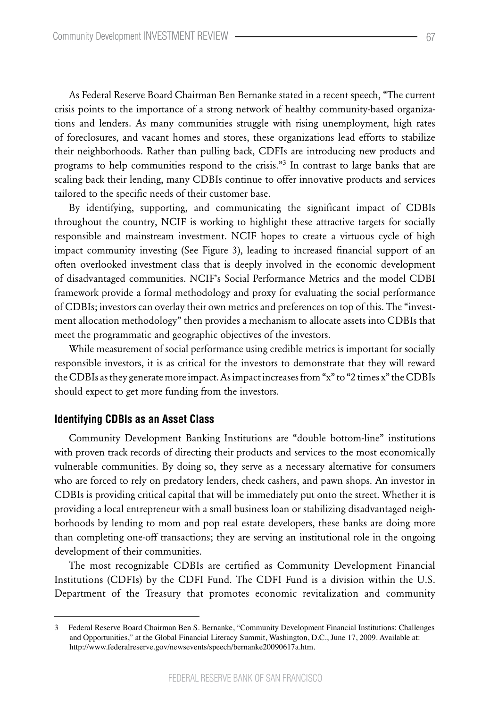As Federal Reserve Board Chairman Ben Bernanke stated in a recent speech, "The current crisis points to the importance of a strong network of healthy community-based organizations and lenders. As many communities struggle with rising unemployment, high rates of foreclosures, and vacant homes and stores, these organizations lead efforts to stabilize their neighborhoods. Rather than pulling back, CDFIs are introducing new products and programs to help communities respond to the crisis."<sup>3</sup> In contrast to large banks that are scaling back their lending, many CDBIs continue to offer innovative products and services tailored to the specific needs of their customer base.

By identifying, supporting, and communicating the significant impact of CDBIs throughout the country, NCIF is working to highlight these attractive targets for socially responsible and mainstream investment. NCIF hopes to create a virtuous cycle of high impact community investing (See Figure 3), leading to increased financial support of an often overlooked investment class that is deeply involved in the economic development of disadvantaged communities. NCIF's Social Performance Metrics and the model CDBI framework provide a formal methodology and proxy for evaluating the social performance of CDBIs; investors can overlay their own metrics and preferences on top of this. The "investment allocation methodology" then provides a mechanism to allocate assets into CDBIs that meet the programmatic and geographic objectives of the investors.

While measurement of social performance using credible metrics is important for socially responsible investors, it is as critical for the investors to demonstrate that they will reward the CDBIs as they generate more impact. As impact increases from "x" to "2 times x" the CDBIs should expect to get more funding from the investors.

#### **Identifying CDBIs as an Asset Class**

Community Development Banking Institutions are "double bottom-line" institutions with proven track records of directing their products and services to the most economically vulnerable communities. By doing so, they serve as a necessary alternative for consumers who are forced to rely on predatory lenders, check cashers, and pawn shops. An investor in CDBIs is providing critical capital that will be immediately put onto the street. Whether it is providing a local entrepreneur with a small business loan or stabilizing disadvantaged neighborhoods by lending to mom and pop real estate developers, these banks are doing more than completing one-off transactions; they are serving an institutional role in the ongoing development of their communities.

The most recognizable CDBIs are certified as Community Development Financial Institutions (CDFIs) by the CDFI Fund. The CDFI Fund is a division within the U.S. Department of the Treasury that promotes economic revitalization and community

<sup>3</sup> Federal Reserve Board Chairman Ben S. Bernanke, "Community Development Financial Institutions: Challenges and Opportunities," at the Global Financial Literacy Summit, Washington, D.C., June 17, 2009. Available at: http://www.federalreserve.gov/newsevents/speech/bernanke20090617a.htm.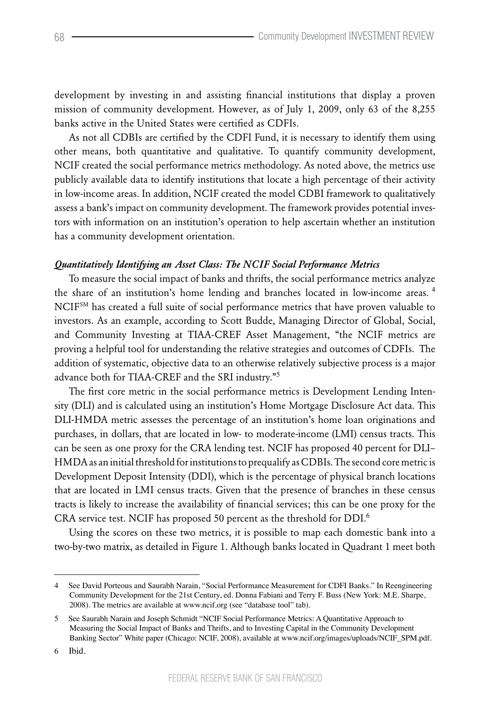development by investing in and assisting financial institutions that display a proven mission of community development. However, as of July 1, 2009, only 63 of the 8,255 banks active in the United States were certified as CDFIs.

As not all CDBIs are certified by the CDFI Fund, it is necessary to identify them using other means, both quantitative and qualitative. To quantify community development, NCIF created the social performance metrics methodology. As noted above, the metrics use publicly available data to identify institutions that locate a high percentage of their activity in low-income areas. In addition, NCIF created the model CDBI framework to qualitatively assess a bank's impact on community development. The framework provides potential investors with information on an institution's operation to help ascertain whether an institution has a community development orientation.

## *Quantitatively Identifying an Asset Class: The NCIF Social Performance Metrics*

To measure the social impact of banks and thrifts, the social performance metrics analyze the share of an institution's home lending and branches located in low-income areas.<sup>4</sup> NCIFSM has created a full suite of social performance metrics that have proven valuable to investors. As an example, according to Scott Budde, Managing Director of Global, Social, and Community Investing at TIAA-CREF Asset Management, "the NCIF metrics are proving a helpful tool for understanding the relative strategies and outcomes of CDFIs. The addition of systematic, objective data to an otherwise relatively subjective process is a major advance both for TIAA-CREF and the SRI industry."<sup>5</sup>

The first core metric in the social performance metrics is Development Lending Intensity (DLI) and is calculated using an institution's Home Mortgage Disclosure Act data. This DLI-HMDA metric assesses the percentage of an institution's home loan originations and purchases, in dollars, that are located in low- to moderate-income (LMI) census tracts. This can be seen as one proxy for the CRA lending test. NCIF has proposed 40 percent for DLI– HMDA as an initial threshold for institutions to prequalify as CDBIs. The second core metric is Development Deposit Intensity (DDI), which is the percentage of physical branch locations that are located in LMI census tracts. Given that the presence of branches in these census tracts is likely to increase the availability of financial services; this can be one proxy for the CRA service test. NCIF has proposed 50 percent as the threshold for DDI.<sup>6</sup>

Using the scores on these two metrics, it is possible to map each domestic bank into a two-by-two matrix, as detailed in Figure 1. Although banks located in Quadrant 1 meet both

<sup>4</sup> See David Porteous and Saurabh Narain, "Social Performance Measurement for CDFI Banks." In Reengineering Community Development for the 21st Century, ed. Donna Fabiani and Terry F. Buss (New York: M.E. Sharpe, 2008). The metrics are available at www.ncif.org (see "database tool" tab).

<sup>5</sup> See Saurabh Narain and Joseph Schmidt "NCIF Social Performance Metrics: A Quantitative Approach to Measuring the Social Impact of Banks and Thrifts, and to Investing Capital in the Community Development Banking Sector" White paper (Chicago: NCIF, 2008), available at www.ncif.org/images/uploads/NCIF\_SPM.pdf.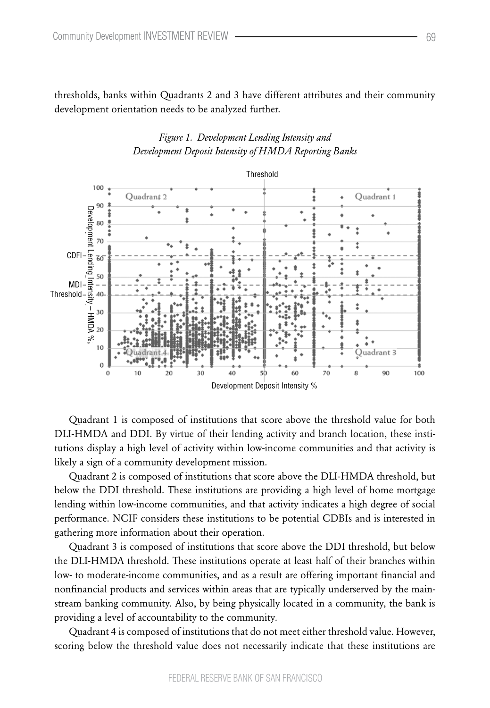thresholds, banks within Quadrants 2 and 3 have different attributes and their community development orientation needs to be analyzed further.



## *Figure 1. Development Lending Intensity and Development Deposit Intensity of HMDA Reporting Banks*

Quadrant 1 is composed of institutions that score above the threshold value for both DLI-HMDA and DDI. By virtue of their lending activity and branch location, these institutions display a high level of activity within low-income communities and that activity is likely a sign of a community development mission.

Quadrant 2 is composed of institutions that score above the DLI-HMDA threshold, but below the DDI threshold. These institutions are providing a high level of home mortgage lending within low-income communities, and that activity indicates a high degree of social performance. NCIF considers these institutions to be potential CDBIs and is interested in gathering more information about their operation.

Quadrant 3 is composed of institutions that score above the DDI threshold, but below the DLI-HMDA threshold. These institutions operate at least half of their branches within low- to moderate-income communities, and as a result are offering important financial and nonfinancial products and services within areas that are typically underserved by the mainstream banking community. Also, by being physically located in a community, the bank is providing a level of accountability to the community.

Quadrant 4 is composed of institutions that do not meet either threshold value. However, scoring below the threshold value does not necessarily indicate that these institutions are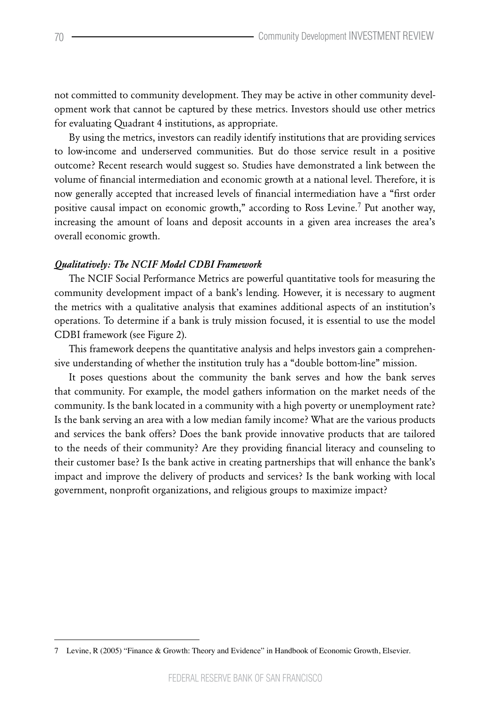not committed to community development. They may be active in other community development work that cannot be captured by these metrics. Investors should use other metrics for evaluating Quadrant 4 institutions, as appropriate.

By using the metrics, investors can readily identify institutions that are providing services to low-income and underserved communities. But do those service result in a positive outcome? Recent research would suggest so. Studies have demonstrated a link between the volume of financial intermediation and economic growth at a national level. Therefore, it is now generally accepted that increased levels of financial intermediation have a "first order positive causal impact on economic growth," according to Ross Levine.<sup>7</sup> Put another way, increasing the amount of loans and deposit accounts in a given area increases the area's overall economic growth.

## *Qualitatively: The NCIF Model CDBI Framework*

The NCIF Social Performance Metrics are powerful quantitative tools for measuring the community development impact of a bank's lending. However, it is necessary to augment the metrics with a qualitative analysis that examines additional aspects of an institution's operations. To determine if a bank is truly mission focused, it is essential to use the model CDBI framework (see Figure 2).

This framework deepens the quantitative analysis and helps investors gain a comprehensive understanding of whether the institution truly has a "double bottom-line" mission.

It poses questions about the community the bank serves and how the bank serves that community. For example, the model gathers information on the market needs of the community. Is the bank located in a community with a high poverty or unemployment rate? Is the bank serving an area with a low median family income? What are the various products and services the bank offers? Does the bank provide innovative products that are tailored to the needs of their community? Are they providing financial literacy and counseling to their customer base? Is the bank active in creating partnerships that will enhance the bank's impact and improve the delivery of products and services? Is the bank working with local government, nonprofit organizations, and religious groups to maximize impact?

<sup>7</sup> Levine, R (2005) "Finance & Growth: Theory and Evidence" in Handbook of Economic Growth, Elsevier.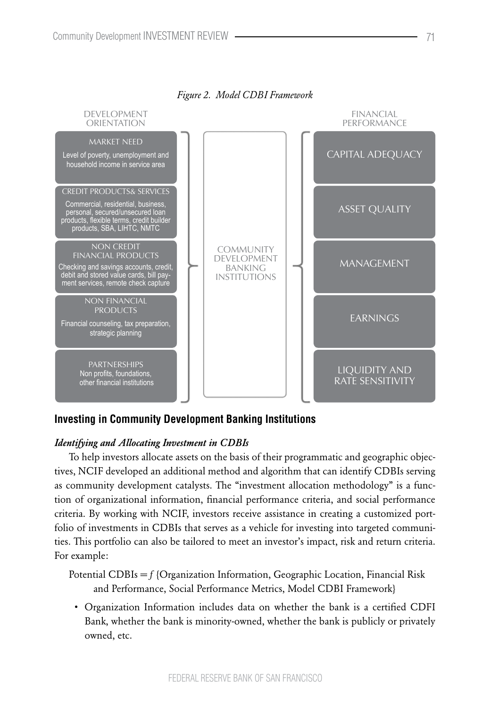

*Figure 2. Model CDBI Framework*

# **Investing in Community Development Banking Institutions**

## *Identifying and Allocating Investment in CDBIs*

To help investors allocate assets on the basis of their programmatic and geographic objectives, NCIF developed an additional method and algorithm that can identify CDBIs serving as community development catalysts. The "investment allocation methodology" is a function of organizational information, financial performance criteria, and social performance criteria. By working with NCIF, investors receive assistance in creating a customized portfolio of investments in CDBIs that serves as a vehicle for investing into targeted communities. This portfolio can also be tailored to meet an investor's impact, risk and return criteria. For example:

```
Potential CDBIs =f {Organization Information, Geographic Location, Financial Risk
and Performance, Social Performance Metrics, Model CDBI Framework}
```
• Organization Information includes data on whether the bank is a certified CDFI Bank, whether the bank is minority-owned, whether the bank is publicly or privately owned, etc.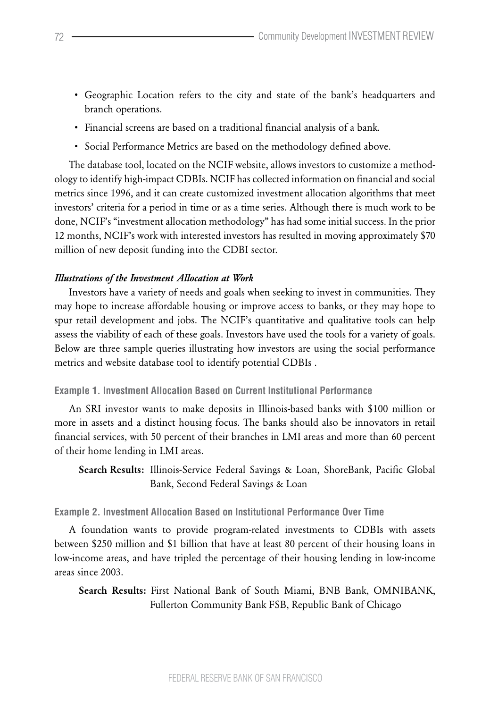- • Geographic Location refers to the city and state of the bank's headquarters and branch operations.
- Financial screens are based on a traditional financial analysis of a bank.
- • Social Performance Metrics are based on the methodology defined above.

The database tool, located on the NCIF website, allows investors to customize a methodology to identify high-impact CDBIs. NCIF has collected information on financial and social metrics since 1996, and it can create customized investment allocation algorithms that meet investors' criteria for a period in time or as a time series. Although there is much work to be done, NCIF's "investment allocation methodology" has had some initial success. In the prior 12 months, NCIF's work with interested investors has resulted in moving approximately \$70 million of new deposit funding into the CDBI sector.

# *Illustrations of the Investment Allocation at Work*

Investors have a variety of needs and goals when seeking to invest in communities. They may hope to increase affordable housing or improve access to banks, or they may hope to spur retail development and jobs. The NCIF's quantitative and qualitative tools can help assess the viability of each of these goals. Investors have used the tools for a variety of goals. Below are three sample queries illustrating how investors are using the social performance metrics and website database tool to identify potential CDBIs .

# **Example 1. Investment Allocation Based on Current Institutional Performance**

An SRI investor wants to make deposits in Illinois-based banks with \$100 million or more in assets and a distinct housing focus. The banks should also be innovators in retail financial services, with 50 percent of their branches in LMI areas and more than 60 percent of their home lending in LMI areas.

Search Results: Illinois-Service Federal Savings & Loan, ShoreBank, Pacific Global Bank, Second Federal Savings & Loan

**Example 2. Investment Allocation Based on Institutional Performance Over Time**

A foundation wants to provide program-related investments to CDBIs with assets between \$250 million and \$1 billion that have at least 80 percent of their housing loans in low-income areas, and have tripled the percentage of their housing lending in low-income areas since 2003.

Search Results: First National Bank of South Miami, BNB Bank, OMNIBANK, Fullerton Community Bank FSB, Republic Bank of Chicago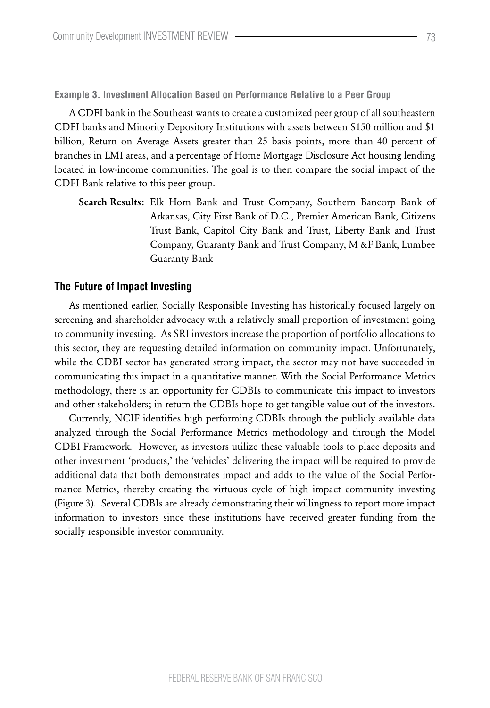**Example 3. Investment Allocation Based on Performance Relative to a Peer Group** 

A CDFI bank in the Southeast wants to create a customized peer group of all southeastern CDFI banks and Minority Depository Institutions with assets between \$150 million and \$1 billion, Return on Average Assets greater than 25 basis points, more than 40 percent of branches in LMI areas, and a percentage of Home Mortgage Disclosure Act housing lending located in low-income communities. The goal is to then compare the social impact of the CDFI Bank relative to this peer group.

Search Results: Elk Horn Bank and Trust Company, Southern Bancorp Bank of Arkansas, City First Bank of D.C., Premier American Bank, Citizens Trust Bank, Capitol City Bank and Trust, Liberty Bank and Trust Company, Guaranty Bank and Trust Company, M &F Bank, Lumbee Guaranty Bank

## **The Future of Impact Investing**

As mentioned earlier, Socially Responsible Investing has historically focused largely on screening and shareholder advocacy with a relatively small proportion of investment going to community investing. As SRI investors increase the proportion of portfolio allocations to this sector, they are requesting detailed information on community impact. Unfortunately, while the CDBI sector has generated strong impact, the sector may not have succeeded in communicating this impact in a quantitative manner. With the Social Performance Metrics methodology, there is an opportunity for CDBIs to communicate this impact to investors and other stakeholders; in return the CDBIs hope to get tangible value out of the investors.

Currently, NCIF identifies high performing CDBIs through the publicly available data analyzed through the Social Performance Metrics methodology and through the Model CDBI Framework. However, as investors utilize these valuable tools to place deposits and other investment 'products,' the 'vehicles' delivering the impact will be required to provide additional data that both demonstrates impact and adds to the value of the Social Performance Metrics, thereby creating the virtuous cycle of high impact community investing (Figure 3). Several CDBIs are already demonstrating their willingness to report more impact information to investors since these institutions have received greater funding from the socially responsible investor community.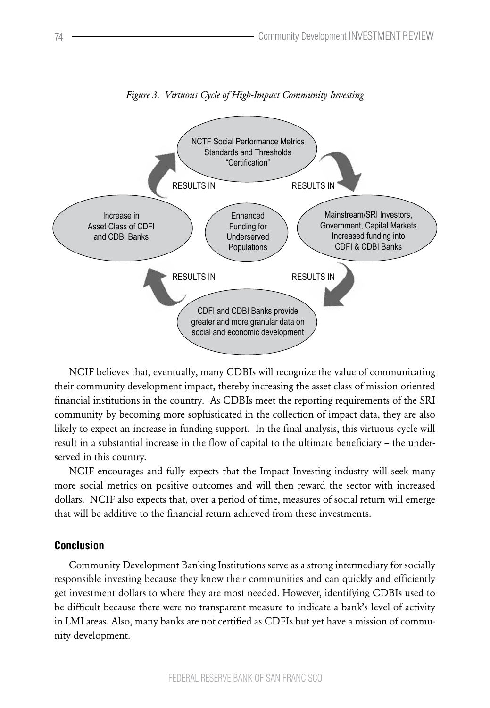

*Figure 3. Virtuous Cycle of High-Impact Community Investing*

NCIF believes that, eventually, many CDBIs will recognize the value of communicating their community development impact, thereby increasing the asset class of mission oriented financial institutions in the country. As CDBIs meet the reporting requirements of the SRI community by becoming more sophisticated in the collection of impact data, they are also likely to expect an increase in funding support. In the final analysis, this virtuous cycle will result in a substantial increase in the flow of capital to the ultimate beneficiary – the underserved in this country.

NCIF encourages and fully expects that the Impact Investing industry will seek many more social metrics on positive outcomes and will then reward the sector with increased dollars. NCIF also expects that, over a period of time, measures of social return will emerge that will be additive to the financial return achieved from these investments.

## **Conclusion**

Community Development Banking Institutions serve as a strong intermediary for socially responsible investing because they know their communities and can quickly and efficiently get investment dollars to where they are most needed. However, identifying CDBIs used to be difficult because there were no transparent measure to indicate a bank's level of activity in LMI areas. Also, many banks are not certified as CDFIs but yet have a mission of community development.